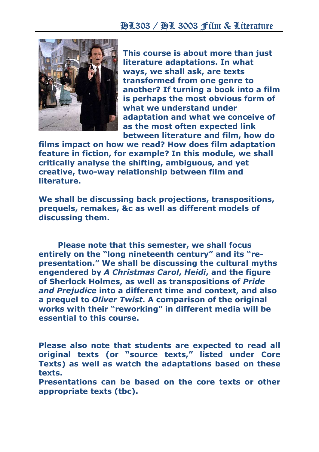

This course is about more than just literature adaptations. In what ways, we shall ask, are texts transformed from one genre to another? If turning a book into a film is perhaps the most obvious form of what we understand under adaptation and what we conceive of as the most often expected link between literature and film, how do

films impact on how we read? How does film adaptation feature in fiction, for example? In this module, we shall critically analyse the shifting, ambiguous, and yet creative, two-way relationship between film and literature.

We shall be discussing back projections, transpositions, prequels, remakes, &c as well as different models of discussing them.

Please note that this semester, we shall focus entirely on the "long nineteenth century" and its "representation." We shall be discussing the cultural myths engendered by A Christmas Carol, Heidi, and the figure of Sherlock Holmes, as well as transpositions of Pride and Prejudice into a different time and context, and also a prequel to Oliver Twist. A comparison of the original works with their "reworking" in different media will be essential to this course.

Please also note that students are expected to read all original texts (or "source texts," listed under Core Texts) as well as watch the adaptations based on these texts.

Presentations can be based on the core texts or other appropriate texts (tbc).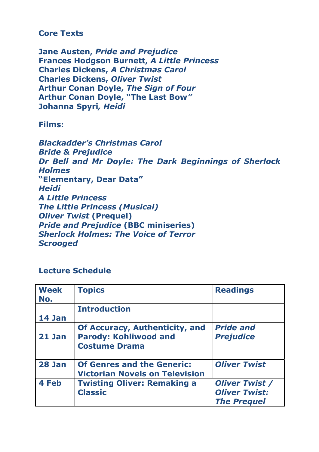## Core Texts

Jane Austen, Pride and Prejudice Frances Hodgson Burnett, A Little Princess Charles Dickens, A Christmas Carol Charles Dickens, Oliver Twist Arthur Conan Doyle, The Sign of Four Arthur Conan Doyle, "The Last Bow" Johanna Spyri, Heidi

Films:

Blackadder's Christmas Carol **Bride & Prejudice** Dr Bell and Mr Doyle: The Dark Beginnings of Sherlock **Holmes** "Elementary, Dear Data" Heidi A Little Princess The Little Princess (Musical) **Oliver Twist (Prequel)** Pride and Prejudice (BBC miniseries) Sherlock Holmes: The Voice of Terror **Scrooged** 

## Lecture Schedule

| <b>Week</b><br>No. | <b>Topics</b>                                                                                 | <b>Readings</b>                                                     |
|--------------------|-----------------------------------------------------------------------------------------------|---------------------------------------------------------------------|
|                    | <b>Introduction</b>                                                                           |                                                                     |
| 14 Jan             |                                                                                               |                                                                     |
| <b>21 Jan</b>      | <b>Of Accuracy, Authenticity, and</b><br><b>Parody: Kohliwood and</b><br><b>Costume Drama</b> | <b>Pride and</b><br><b>Prejudice</b>                                |
| 28 Jan             | <b>Of Genres and the Generic:</b><br><b>Victorian Novels on Television</b>                    | <b>Oliver Twist</b>                                                 |
| 4 Feb              | <b>Twisting Oliver: Remaking a</b><br><b>Classic</b>                                          | <b>Oliver Twist /</b><br><b>Oliver Twist:</b><br><b>The Prequel</b> |